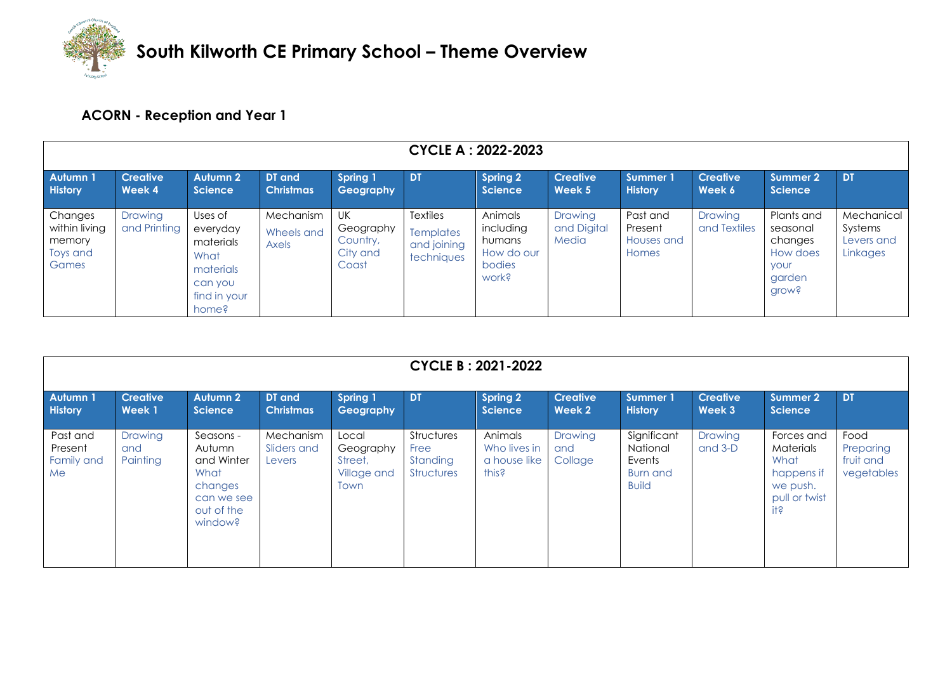

## **ACORN - Reception and Year 1**

| <b>CYCLE A: 2022-2023</b>                               |                           |                                                                                           |                                  |                                                  |                                                           |                                                                 |                                 |                                            |                                |                                                                          |                                                 |
|---------------------------------------------------------|---------------------------|-------------------------------------------------------------------------------------------|----------------------------------|--------------------------------------------------|-----------------------------------------------------------|-----------------------------------------------------------------|---------------------------------|--------------------------------------------|--------------------------------|--------------------------------------------------------------------------|-------------------------------------------------|
| Autumn 1<br><b>History</b>                              | <b>Creative</b><br>Week 4 | Autumn 2<br><b>Science</b>                                                                | DT and<br><b>Christmas</b>       | <b>Spring 1</b><br>Geography                     | <b>DT</b>                                                 | <b>Spring 2</b><br><b>Science</b>                               | <b>Creative</b><br>Week 5       | <b>Summer 1</b><br><b>History</b>          | <b>Creative</b><br>Week 6      | Summer 2<br><b>Science</b>                                               | DT                                              |
| Changes<br>within living<br>memory<br>Toys and<br>Games | Drawing<br>and Printing   | Uses of<br>everyday<br>materials<br>What<br>materials<br>can you<br>find in your<br>home? | Mechanism<br>Wheels and<br>Axels | UK<br>Geography<br>Country,<br>City and<br>Coast | <b>Textiles</b><br>Templates<br>and joining<br>techniques | Animals<br>including<br>humans<br>How do our<br>bodies<br>work? | Drawing<br>and Digital<br>Media | Past and<br>Present<br>Houses and<br>Homes | <b>Drawing</b><br>and Textiles | Plants and<br>seasonal<br>changes<br>How does<br>your<br>garden<br>grow? | Mechanical<br>Systems<br>Levers and<br>Linkages |

| <b>CYCLE B: 2021-2022</b>               |                            |                                                                                             |                                    |                                                      |                                                     |                                                  |                                  |                                                                      |                           |                                                                                               |                                              |
|-----------------------------------------|----------------------------|---------------------------------------------------------------------------------------------|------------------------------------|------------------------------------------------------|-----------------------------------------------------|--------------------------------------------------|----------------------------------|----------------------------------------------------------------------|---------------------------|-----------------------------------------------------------------------------------------------|----------------------------------------------|
| <b>Autumn1</b><br><b>History</b>        | <b>Creative</b><br>Week 1  | <b>Autumn 2</b><br><b>Science</b>                                                           | DT and<br><b>Christmas</b>         | Spring 1<br>Geography                                | <b>DT</b>                                           | <b>Spring 2</b><br><b>Science</b>                | <b>Creative</b><br>Week 2        | <b>Summer 1</b><br><b>History</b>                                    | <b>Creative</b><br>Week 3 | Summer 2<br><b>Science</b>                                                                    | <b>DT</b>                                    |
| Past and<br>Present<br>Family and<br>Me | Drawing<br>and<br>Painting | Seasons -<br>Autumn<br>and Winter<br>What<br>changes<br>can we see<br>out of the<br>window? | Mechanism<br>Sliders and<br>Levers | Local<br>Geography<br>Street.<br>Village and<br>Town | Structures<br>Free<br>Standing<br><b>Structures</b> | Animals<br>Who lives in<br>a house like<br>this? | <b>Drawina</b><br>and<br>Collage | Significant<br>National<br>Events<br><b>Burn and</b><br><b>Build</b> | Drawing<br>and $3-D$      | Forces and<br>Materials<br>What<br>happens if<br>we push.<br>pull or twist<br>i <sub>15</sub> | Food<br>Preparing<br>fruit and<br>vegetables |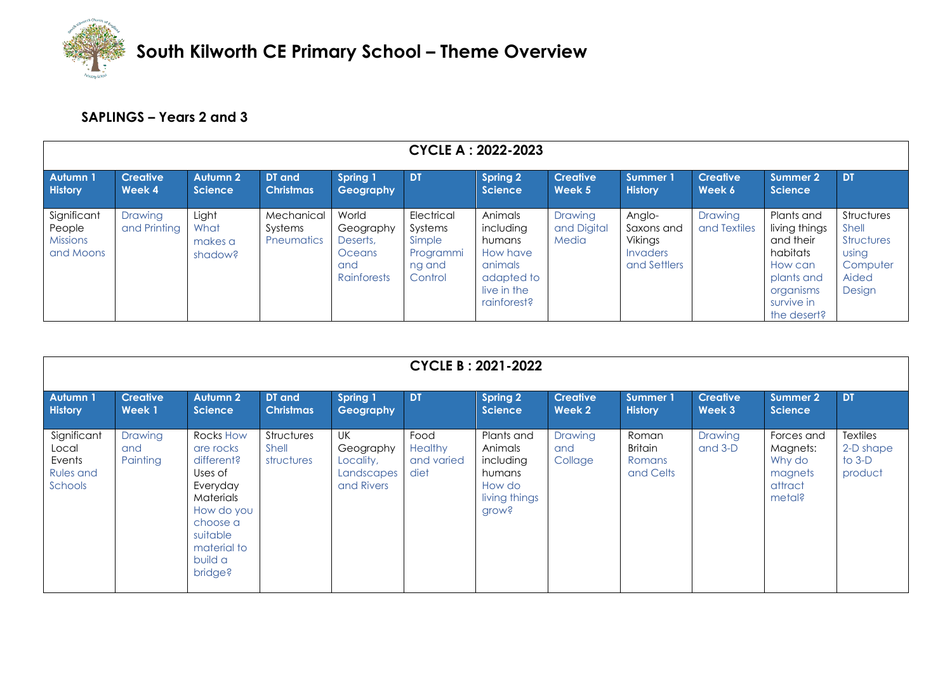

## **SAPLINGS – Years 2 and 3**

|                                                       | <b>CYCLE A: 2022-2023</b> |                                     |                                            |                                                                |                                                                   |                                                                                                   |                                 |                                                             |                           |                                                                                                                         |                                                                                         |  |
|-------------------------------------------------------|---------------------------|-------------------------------------|--------------------------------------------|----------------------------------------------------------------|-------------------------------------------------------------------|---------------------------------------------------------------------------------------------------|---------------------------------|-------------------------------------------------------------|---------------------------|-------------------------------------------------------------------------------------------------------------------------|-----------------------------------------------------------------------------------------|--|
| Autumn 1<br><b>History</b>                            | <b>Creative</b><br>Week 4 | Autumn 2<br><b>Science</b>          | DT and<br><b>Christmas</b>                 | Spring 1<br>Geography                                          | <b>DT</b>                                                         | <b>Spring 2</b><br><b>Science</b>                                                                 | <b>Creative</b><br>Week 5       | Summer 1<br><b>History</b>                                  | <b>Creative</b><br>Week 6 | Summer 2<br><b>Science</b>                                                                                              | <b>DT</b>                                                                               |  |
| Significant<br>People<br><b>Missions</b><br>and Moons | Drawing<br>and Printing   | Light<br>What<br>makes a<br>shadow? | Mechanical<br>Systems<br><b>Pneumatics</b> | World<br>Geography<br>Deserts,<br>Oceans<br>and<br>Rainforests | Electrical<br>Systems<br>Simple<br>Programmi<br>ng and<br>Control | Animals<br>including<br>humans<br>How have<br>animals<br>adapted to<br>live in the<br>rainforest? | Drawing<br>and Digital<br>Media | Anglo-<br>Saxons and<br>Vikings<br>Invaders<br>and Settlers | Drawing<br>and Textiles   | Plants and<br>living things<br>and their<br>habitats<br>How can<br>plants and<br>organisms<br>survive in<br>the desert? | <b>Structures</b><br>Shell<br><b>Structures</b><br>using<br>Computer<br>Aided<br>Design |  |

| <b>CYCLE B: 2021-2022</b>                                     |                            |                                                                                                                                                     |                                   |                                                          |                                              |                                                                                        |                           |                                                |                           |                                                                  |                                                     |
|---------------------------------------------------------------|----------------------------|-----------------------------------------------------------------------------------------------------------------------------------------------------|-----------------------------------|----------------------------------------------------------|----------------------------------------------|----------------------------------------------------------------------------------------|---------------------------|------------------------------------------------|---------------------------|------------------------------------------------------------------|-----------------------------------------------------|
| <b>Autumn1</b><br><b>History</b>                              | <b>Creative</b><br>Week 1  | <b>Autumn 2</b><br><b>Science</b>                                                                                                                   | DT and<br><b>Christmas</b>        | <b>Spring 1</b><br>Geography                             | <b>DT</b>                                    | <b>Spring 2</b><br><b>Science</b>                                                      | <b>Creative</b><br>Week 2 | Summer 1<br><b>History</b>                     | <b>Creative</b><br>Week 3 | <b>Summer 2</b><br><b>Science</b>                                | <b>DT</b>                                           |
| Significant<br>Local<br>Events<br><b>Rules and</b><br>Schools | Drawing<br>and<br>Painting | Rocks How<br>are rocks<br>different?<br>Uses of<br>Everyday<br>Materials<br>How do you<br>choose a<br>suitable<br>material to<br>build a<br>bridge? | Structures<br>Shell<br>structures | UK<br>Geography<br>Locality,<br>Landscapes<br>and Rivers | Food<br><b>Healthy</b><br>and varied<br>diet | Plants and<br>Animals<br>including<br>humans<br>How do<br>living things<br><b>Grow</b> | Drawing<br>and<br>Collage | Roman<br><b>Britain</b><br>Romans<br>and Celts | Drawing<br>and 3-D        | Forces and<br>Magnets:<br>Why do<br>magnets<br>attract<br>metal? | <b>Textiles</b><br>2-D shape<br>to $3-D$<br>product |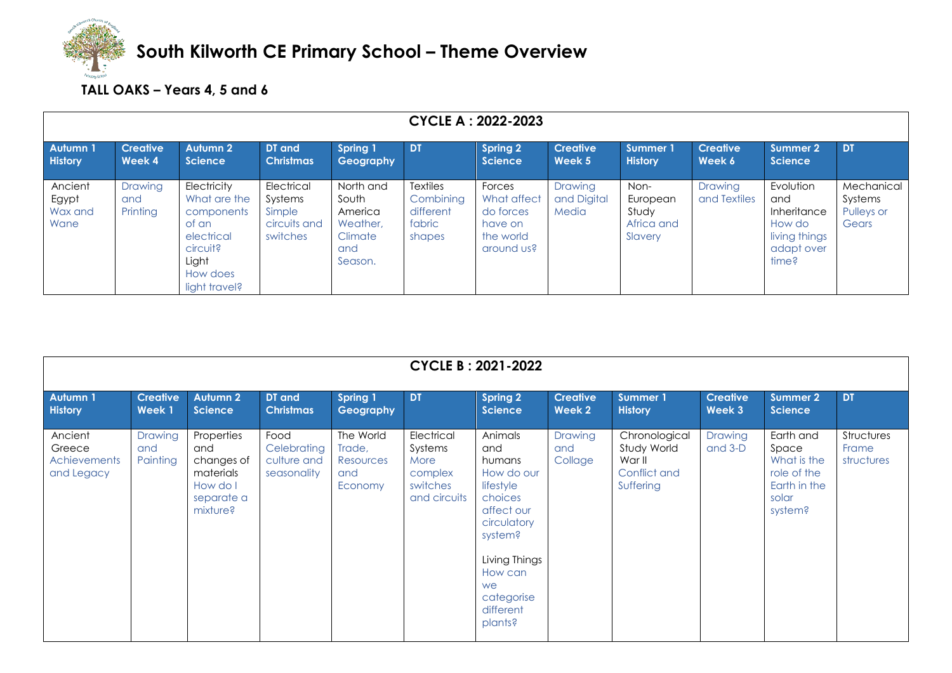

## **TALL OAKS – Years 4, 5 and 6**

| <b>CYCLE A: 2022-2023</b>           |                            |                                                                                                                    |                                                             |                                                                        |                                                               |                                                                          |                                 |                                                    |                           |                                                                                   |                                              |
|-------------------------------------|----------------------------|--------------------------------------------------------------------------------------------------------------------|-------------------------------------------------------------|------------------------------------------------------------------------|---------------------------------------------------------------|--------------------------------------------------------------------------|---------------------------------|----------------------------------------------------|---------------------------|-----------------------------------------------------------------------------------|----------------------------------------------|
| <b>Autumn 1</b><br><b>History</b>   | <b>Creative</b><br>Week 4  | <b>Autumn 2</b><br><b>Science</b>                                                                                  | DT and<br><b>Christmas</b>                                  | <b>Spring 1</b><br>Geography                                           | <b>DT</b>                                                     | <b>Spring 2</b><br><b>Science</b>                                        | <b>Creative</b><br>Week 5       | Summer 1<br><b>History</b>                         | <b>Creative</b><br>Week 6 | <b>Summer 2</b><br><b>Science</b>                                                 | <b>DT</b>                                    |
| Ancient<br>Egypt<br>Wax and<br>Wane | Drawing<br>and<br>Printing | Electricity<br>What are the<br>components<br>of an<br>electrical<br>circuit?<br>Light<br>How does<br>light travel? | Electrical<br>Systems<br>Simple<br>circuits and<br>switches | North and<br>South<br>America<br>Weather,<br>Climate<br>and<br>Season. | <b>Textiles</b><br>Combining<br>different<br>fabric<br>shapes | Forces<br>What affect<br>do forces<br>have on<br>the world<br>around us? | Drawing<br>and Digital<br>Media | Non-<br>European<br>Study<br>Africa and<br>Slavery | Drawing<br>and Textiles   | Evolution<br>and<br>Inheritance<br>How do<br>living things<br>adapt over<br>time? | Mechanical<br>Systems<br>Pulleys or<br>Gears |

|                                                 | <b>CYCLE B: 2021-2022</b>         |                                                                                    |                                                   |                                                    |                                                                      |                                                                                                                                                                                |                                  |                                                                     |                           |                                                                                      |                                   |  |  |
|-------------------------------------------------|-----------------------------------|------------------------------------------------------------------------------------|---------------------------------------------------|----------------------------------------------------|----------------------------------------------------------------------|--------------------------------------------------------------------------------------------------------------------------------------------------------------------------------|----------------------------------|---------------------------------------------------------------------|---------------------------|--------------------------------------------------------------------------------------|-----------------------------------|--|--|
| <b>Autumn1</b><br><b>History</b>                | <b>Creative</b><br><b>Week1</b>   | <b>Autumn 2</b><br><b>Science</b>                                                  | DT and<br><b>Christmas</b>                        | <b>Spring 1</b><br>Geography                       | <b>DT</b>                                                            | <b>Spring 2</b><br><b>Science</b>                                                                                                                                              | <b>Creative</b><br>Week 2        | <b>Summer 1</b><br><b>History</b>                                   | <b>Creative</b><br>Week 3 | <b>Summer 2</b><br><b>Science</b>                                                    | <b>DT</b>                         |  |  |
| Ancient<br>Greece<br>Achievements<br>and Legacy | <b>Drawing</b><br>and<br>Painting | Properties<br>and<br>changes of<br>materials<br>How do I<br>separate a<br>mixture? | Food<br>Celebrating<br>culture and<br>seasonality | The World<br>Trade,<br>Resources<br>and<br>Economy | Electrical<br>Systems<br>More<br>complex<br>switches<br>and circuits | Animals<br>and<br>humans<br>How do our<br>lifestyle<br>choices<br>affect our<br>circulatory<br>system?<br>Living Things<br>How can<br>we<br>categorise<br>different<br>plants? | <b>Drawing</b><br>and<br>Collage | Chronological<br>Study World<br>War II<br>Conflict and<br>Suffering | Drawing<br>and 3-D        | Earth and<br>Space<br>What is the<br>role of the<br>Earth in the<br>solar<br>system? | Structures<br>Frame<br>structures |  |  |